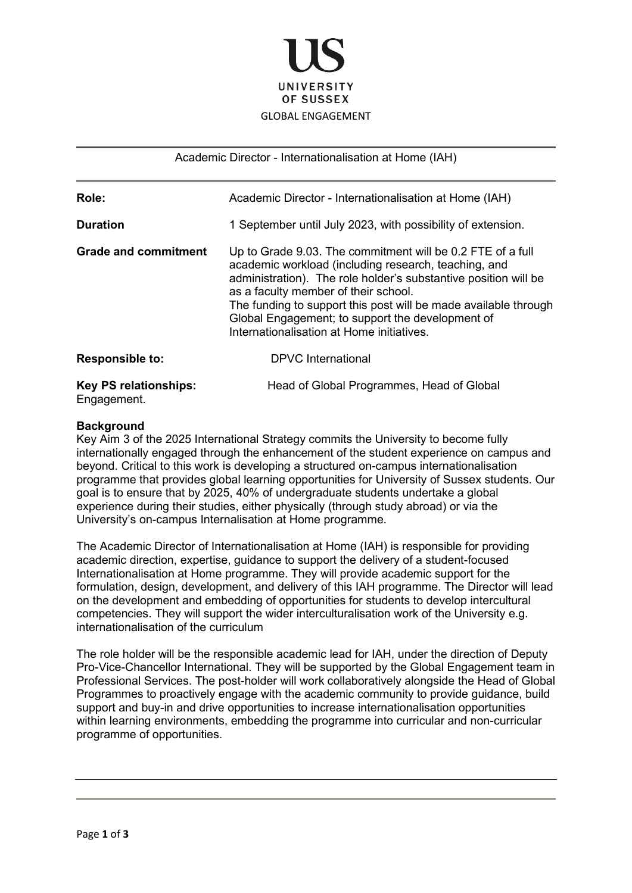

Academic Director - Internationalisation at Home (IAH)

| Role:                        | Academic Director - Internationalisation at Home (IAH)                                                                                                                                                                                                                                                                                                                                            |
|------------------------------|---------------------------------------------------------------------------------------------------------------------------------------------------------------------------------------------------------------------------------------------------------------------------------------------------------------------------------------------------------------------------------------------------|
| <b>Duration</b>              | 1 September until July 2023, with possibility of extension.                                                                                                                                                                                                                                                                                                                                       |
| <b>Grade and commitment</b>  | Up to Grade 9.03. The commitment will be 0.2 FTE of a full<br>academic workload (including research, teaching, and<br>administration). The role holder's substantive position will be<br>as a faculty member of their school.<br>The funding to support this post will be made available through<br>Global Engagement; to support the development of<br>Internationalisation at Home initiatives. |
| <b>Responsible to:</b>       | DPVC International                                                                                                                                                                                                                                                                                                                                                                                |
| <b>Key PS relationships:</b> | Head of Global Programmes, Head of Global                                                                                                                                                                                                                                                                                                                                                         |

Engagement.

## **Background**

Key Aim 3 of the 2025 International Strategy commits the University to become fully internationally engaged through the enhancement of the student experience on campus and beyond. Critical to this work is developing a structured on-campus internationalisation programme that provides global learning opportunities for University of Sussex students. Our goal is to ensure that by 2025, 40% of undergraduate students undertake a global experience during their studies, either physically (through study abroad) or via the University's on-campus Internalisation at Home programme.

The Academic Director of Internationalisation at Home (IAH) is responsible for providing academic direction, expertise, guidance to support the delivery of a student-focused Internationalisation at Home programme. They will provide academic support for the formulation, design, development, and delivery of this IAH programme. The Director will lead on the development and embedding of opportunities for students to develop intercultural competencies. They will support the wider interculturalisation work of the University e.g. internationalisation of the curriculum

The role holder will be the responsible academic lead for IAH, under the direction of Deputy Pro-Vice-Chancellor International. They will be supported by the Global Engagement team in Professional Services. The post-holder will work collaboratively alongside the Head of Global Programmes to proactively engage with the academic community to provide guidance, build support and buy-in and drive opportunities to increase internationalisation opportunities within learning environments, embedding the programme into curricular and non-curricular programme of opportunities.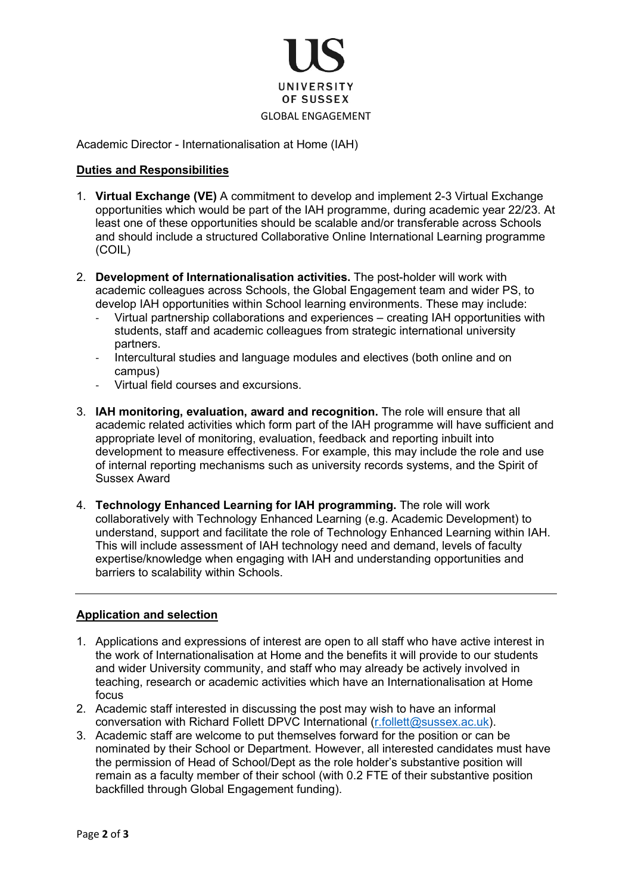

Academic Director - Internationalisation at Home (IAH)

## **Duties and Responsibilities**

- 1. **Virtual Exchange (VE)** A commitment to develop and implement 2-3 Virtual Exchange opportunities which would be part of the IAH programme, during academic year 22/23. At least one of these opportunities should be scalable and/or transferable across Schools and should include a structured Collaborative Online International Learning programme (COIL)
- 2. **Development of Internationalisation activities.** The post-holder will work with academic colleagues across Schools, the Global Engagement team and wider PS, to develop IAH opportunities within School learning environments. These may include:
	- Virtual partnership collaborations and experiences creating IAH opportunities with students, staff and academic colleagues from strategic international university partners.
	- Intercultural studies and language modules and electives (both online and on campus)
	- Virtual field courses and excursions.
- 3. **IAH monitoring, evaluation, award and recognition.** The role will ensure that all academic related activities which form part of the IAH programme will have sufficient and appropriate level of monitoring, evaluation, feedback and reporting inbuilt into development to measure effectiveness. For example, this may include the role and use of internal reporting mechanisms such as university records systems, and the Spirit of Sussex Award
- 4. **Technology Enhanced Learning for IAH programming.** The role will work collaboratively with Technology Enhanced Learning (e.g. Academic Development) to understand, support and facilitate the role of Technology Enhanced Learning within IAH. This will include assessment of IAH technology need and demand, levels of faculty expertise/knowledge when engaging with IAH and understanding opportunities and barriers to scalability within Schools.

## **Application and selection**

- 1. Applications and expressions of interest are open to all staff who have active interest in the work of Internationalisation at Home and the benefits it will provide to our students and wider University community, and staff who may already be actively involved in teaching, research or academic activities which have an Internationalisation at Home focus
- 2. Academic staff interested in discussing the post may wish to have an informal conversation with Richard Follett DPVC International [\(r.follett@sussex.ac.uk\)](mailto:r.follett@sussex.ac.uk).
- 3. Academic staff are welcome to put themselves forward for the position or can be nominated by their School or Department. However, all interested candidates must have the permission of Head of School/Dept as the role holder's substantive position will remain as a faculty member of their school (with 0.2 FTE of their substantive position backfilled through Global Engagement funding).